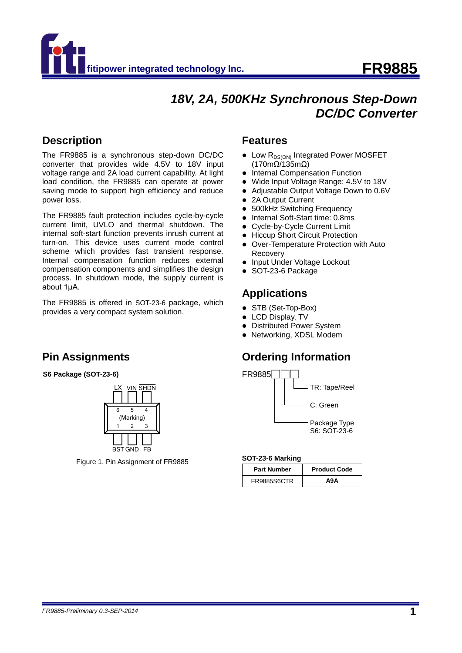

# 18V, 2A, 500KHz Synchronous Step-Down *DC/DC Converter*

### **Description**

The FR9885 is a synchronous step-down DC/DC converter that provides wide 4.5V to 18V input voltage range and 2A load current capability. At light load condition, the FR9885 can operate at power saving mode to support high efficiency and reduce power loss.

The FR9885 fault protection includes cycle-by-cycle current limit, UVLO and thermal shutdown. The internal soft-start function prevents inrush current at turn-on. This device uses current mode control scheme which provides fast transient response. Internal compensation function reduces external compensation components and simplifies the design process. In shutdown mode, the supply current is about 1μA.

The FR9885 is offered in SOT-23-6 package, which provides a very compact system solution.

# **Pin Assignments**

#### **S6 Package (SOT-23-6)**



Figure 1. Pin Assignment of FR9885

### **Features**

- $\bullet$  Low  $R_{DS(ON)}$  Integrated Power MOSFET (170mΩ/135mΩ)
- Internal Compensation Function
- Wide Input Voltage Range: 4.5V to 18V
- Adjustable Output Voltage Down to 0.6V
- 2A Output Current
- 500kHz Switching Frequency
- Internal Soft-Start time: 0.8ms
- Cycle-by-Cycle Current Limit
- Hiccup Short Circuit Protection
- Over-Temperature Protection with Auto **Recovery**
- Input Under Voltage Lockout
- SOT-23-6 Package

### **Applications**

- STB (Set-Top-Box)
- LCD Display, TV
- Distributed Power System
- Networking, XDSL Modem

### **Ordering Information**



#### **SOT-23-6 Marking**

| <b>Part Number</b> | <b>Product Code</b> |
|--------------------|---------------------|
| <b>FR9885S6CTR</b> | Α9Α                 |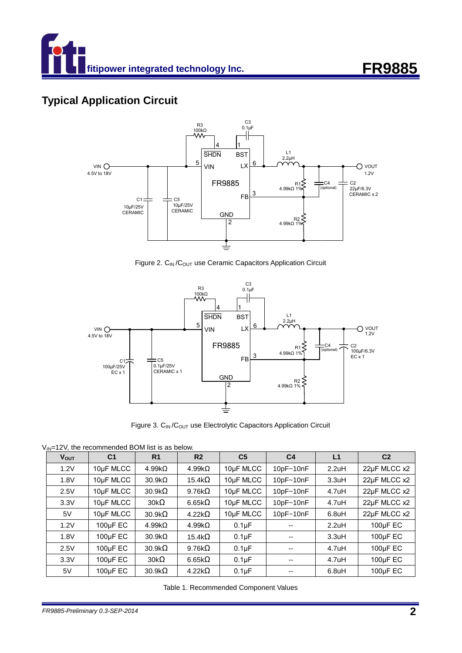

# **Typical Application Circuit**



Figure 2. C<sub>IN</sub> / C<sub>OUT</sub> use Ceramic Capacitors Application Circuit



Figure 3. C<sub>IN</sub> / C<sub>OUT</sub> use Electrolytic Capacitors Application Circuit

 $V_{IN}$ =12V, the recommended BOM list is as below.

| <b>VOUT</b> | C <sub>1</sub> | R <sub>1</sub> | R <sub>2</sub> | C <sub>5</sub>     | C <sub>4</sub> | L <sub>1</sub>     | C <sub>2</sub> |
|-------------|----------------|----------------|----------------|--------------------|----------------|--------------------|----------------|
| 1.2V        | 10µF MLCC      | $4.99k\Omega$  | $4.99k\Omega$  | 10µF MLCC          | 10pF~10nF      | 2.2uH              | 22µF MLCC x2   |
| 1.8V        | 10µF MLCC      | $30.9k\Omega$  | 15.4k $\Omega$ | 10µF MLCC          | $10pF - 10nF$  | 3.3uH              | 22µF MLCC x2   |
| 2.5V        | 10µF MLCC      | $30.9k\Omega$  | 9.76k $\Omega$ | 10µF MLCC          | $10pF - 10nF$  | 4.7uH              | 22µF MLCC x2   |
| 3.3V        | 10µF MLCC      | $30k\Omega$    | 6.65 $k\Omega$ | 10µF MLCC          | $10pF - 10nF$  | $4.7$ uH           | 22µF MLCC x2   |
| 5V          | 10µF MLCC      | $30.9k\Omega$  | $4.22k\Omega$  | 10µF MLCC          | 10pF~10nF      | 6.8 <sub>u</sub> H | 22µF MLCC x2   |
| 1.2V        | $100\mu F$ EC  | $4.99k\Omega$  | $4.99k\Omega$  | $0.1 \mu F$        | --             | 2.2uH              | $100\mu F$ EC  |
| 1.8V        | $100\mu F$ EC  | $30.9k\Omega$  | 15.4k $\Omega$ | 0.1 <sub>µ</sub> F | --             | 3.3uH              | $100\mu F$ EC  |
| 2.5V        | $100\mu F$ EC  | $30.9k\Omega$  | 9.76k $\Omega$ | $0.1 \mu F$        | --             | $4.7$ uH           | $100\mu F$ EC  |
| 3.3V        | 100µF EC       | $30k\Omega$    | 6.65 $k\Omega$ | $0.1 \mu F$        | --             | 4.7uH              | $100\mu F$ EC  |
| 5V          | $100\mu F$ EC  | $30.9k\Omega$  | $4.22k\Omega$  | 0.1 <sub>µ</sub> F |                | 6.8 <sub>u</sub> H | $100\mu F$ EC  |

Table 1. Recommended Component Values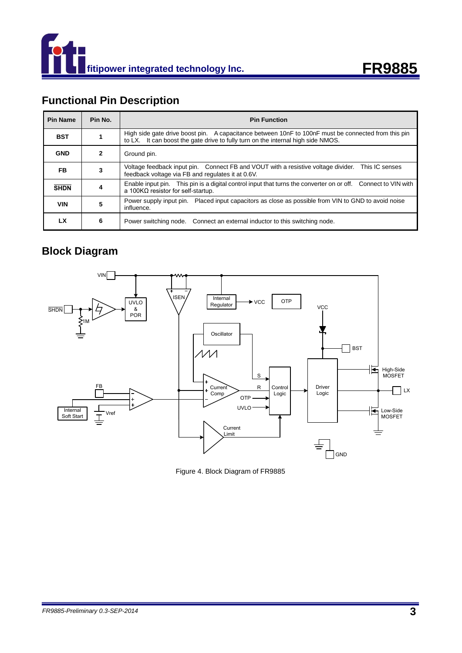



# **Functional Pin Description**

| <b>Pin Name</b> | Pin No. | <b>Pin Function</b>                                                                                                                                                                     |
|-----------------|---------|-----------------------------------------------------------------------------------------------------------------------------------------------------------------------------------------|
| <b>BST</b>      |         | High side gate drive boost pin. A capacitance between 10nF to 100nF must be connected from this pin<br>to LX. It can boost the gate drive to fully turn on the internal high side NMOS. |
| <b>GND</b>      | 2       | Ground pin.                                                                                                                                                                             |
| FB.             | 3       | Voltage feedback input pin. Connect FB and VOUT with a resistive voltage divider. This IC senses<br>feedback voltage via FB and regulates it at 0.6V.                                   |
| <b>SHDN</b>     | 4       | Enable input pin. This pin is a digital control input that turns the converter on or off. Connect to VIN with<br>a 100K $\Omega$ resistor for self-startup.                             |
| <b>VIN</b>      | 5       | Power supply input pin. Placed input capacitors as close as possible from VIN to GND to avoid noise<br>influence.                                                                       |
| LX              | 6       | Power switching node. Connect an external inductor to this switching node.                                                                                                              |

### **Block Diagram**



Figure 4. Block Diagram of FR9885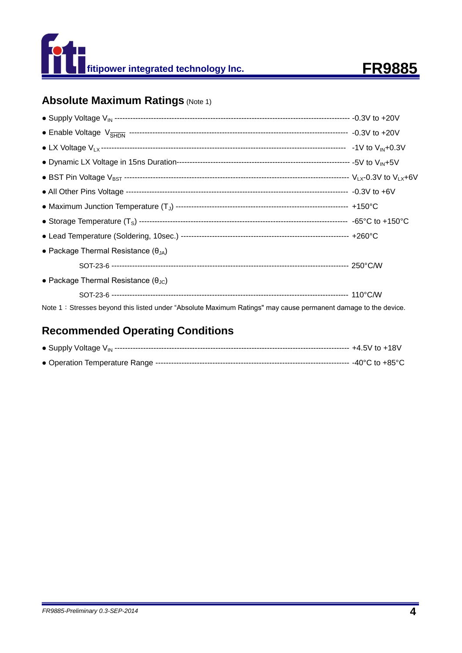



# **Absolute Maximum Ratings (Note 1)**

| • Package Thermal Resistance $(\theta_{JA})$                                                                   |  |
|----------------------------------------------------------------------------------------------------------------|--|
|                                                                                                                |  |
| • Package Thermal Resistance ( $\theta_{\text{JC}}$ )                                                          |  |
|                                                                                                                |  |
| Note 1: Stresses beyond this listed under "Absolute Maximum Ratings" may cause permanent damage to the device. |  |

# **Recommended Operating Conditions**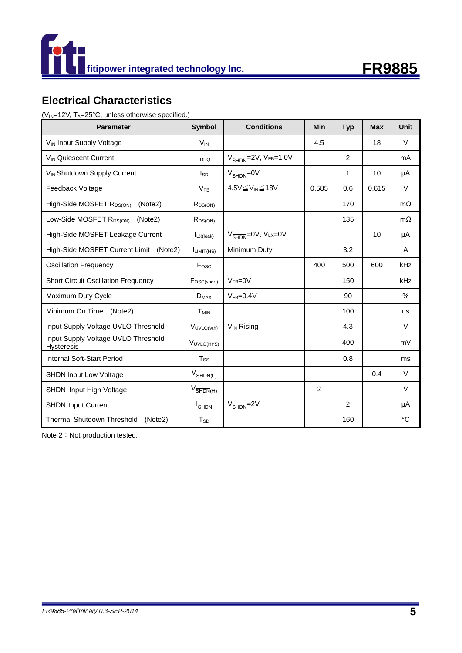



# **Electrical Characteristics**

( $V_{IN}$ =12V, T<sub>A</sub>=25°C, unless otherwise specified.)

| <b>Parameter</b>                                         | <b>Symbol</b>                   | <b>Conditions</b>                                       | Min   | <b>Typ</b>     | <b>Max</b> | <b>Unit</b>   |
|----------------------------------------------------------|---------------------------------|---------------------------------------------------------|-------|----------------|------------|---------------|
| V <sub>IN</sub> Input Supply Voltage                     | $V_{IN}$                        |                                                         | 4.5   |                | 18         | $\vee$        |
| V <sub>IN</sub> Quiescent Current                        | $I_{DDQ}$                       | $V_{\overline{\text{SHDN}}}$ =2V, V <sub>FB</sub> =1.0V |       | $\overline{2}$ |            | mA            |
| V <sub>IN</sub> Shutdown Supply Current                  | <b>I</b> sp                     | $V_{\overline{\text{SHDN}}} = 0V$                       |       | 1              | 10         | μA            |
| Feedback Voltage                                         | $V_{FR}$                        | $4.5V \leq V_{IN} \leq 18V$                             | 0.585 | 0.6            | 0.615      | $\vee$        |
| High-Side MOSFET R <sub>DS(ON)</sub><br>(Note2)          | $R_{DS(ON)}$                    |                                                         |       | 170            |            | $m\Omega$     |
| Low-Side MOSFET R <sub>DS(ON)</sub><br>(Note2)           | $R_{DS(ON)}$                    |                                                         |       | 135            |            | $m\Omega$     |
| High-Side MOSFET Leakage Current                         | $I_{LX(leak)}$                  | $V_{\overline{\text{SHDN}}} = 0V, V_{\text{LX}} = 0V$   |       |                | 10         | μA            |
| High-Side MOSFET Current Limit<br>(Note2)                | I <sub>LIMIT(HS)</sub>          | Minimum Duty                                            |       | 3.2            |            | A             |
| <b>Oscillation Frequency</b>                             | Fosc                            |                                                         | 400   | 500            | 600        | kHz           |
| <b>Short Circuit Oscillation Frequency</b>               | FOSC(short)                     | $VFB=0V$                                                |       | 150            |            | kHz           |
| Maximum Duty Cycle                                       | $D_{MAX}$                       | $VFB=0.4V$                                              |       | 90             |            | $\frac{0}{0}$ |
| Minimum On Time<br>(Note2)                               | T <sub>MIN</sub>                |                                                         |       | 100            |            | ns            |
| Input Supply Voltage UVLO Threshold                      | VUVLO(Vth)                      | $V_{IN}$ Rising                                         |       | 4.3            |            | $\vee$        |
| Input Supply Voltage UVLO Threshold<br><b>Hysteresis</b> | VUVLO(HYS)                      |                                                         |       | 400            |            | mV            |
| Internal Soft-Start Period                               | Tss                             |                                                         |       | 0.8            |            | ms            |
| <b>SHDN Input Low Voltage</b>                            | $V_{\overline{\text{SHDN}}(L)}$ |                                                         |       |                | 0.4        | $\vee$        |
| SHDN Input High Voltage                                  | $V_{\overline{\text{SHDN}}(H)}$ |                                                         | 2     |                |            | $\vee$        |
| <b>SHDN Input Current</b>                                | $I_{\overline{\text{SHDN}}}$    | $V_{\overline{\text{SHDN}}}$ =2V                        |       | $\mathcal{P}$  |            | μA            |
| Thermal Shutdown Threshold<br>(Note2)                    | $T_{SD}$                        |                                                         |       | 160            |            | °C            |

Note 2: Not production tested.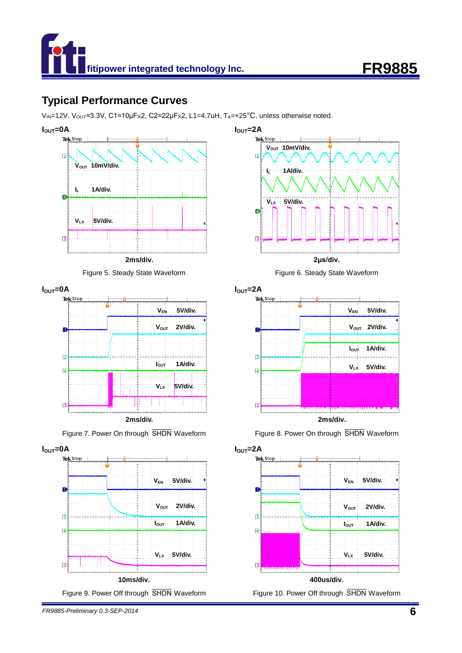



## **Typical Performance Curves**

 $V_{\text{IN}}$ =12V,  $V_{\text{OUT}}$ =3.3V, C1=10µFx2, C2=22µFx2, L1=4.7uH, T<sub>A</sub>=+25°C, unless otherwise noted.





**IOUT**=0A



**2ms/div.**







**IOUT=2A**



Figure 7. Power On through SHDN Waveform Figure 8. Power On through SHDN Waveform



*FR9885-Preliminary 0.3-SEP-2014* **6**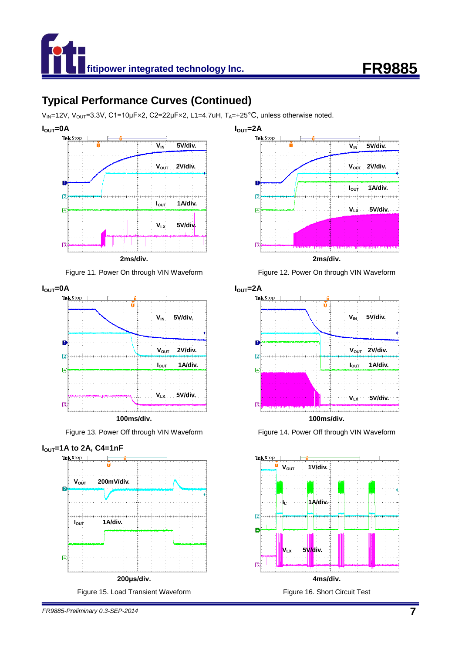



# **Typical Performance Curves (Continued)**

 $V_{\text{IN}}$ =12V,  $V_{\text{OUT}}$ =3.3V, C1=10µFx2, C2=22µFx2, L1=4.7uH, T<sub>A</sub>=+25°C, unless otherwise noted.







**100ms/div.**









Figure 13. Power Off through VIN Waveform Figure 14. Power Off through VIN Waveform





*FR9885-Preliminary 0.3-SEP-2014* **7**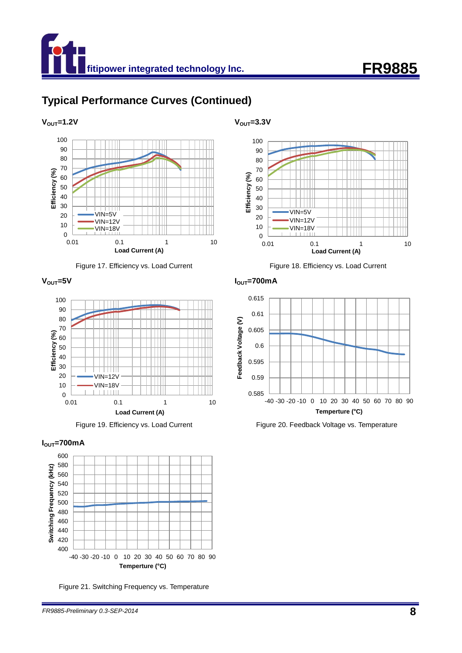

# **Typical Performance Curves (Continued)**











Figure 21. Switching Frequency vs. Temperature

#### $V_{\text{OUT}} = 1.2V$   $V_{\text{OUT}} = 3.3V$



Figure 17. Efficiency vs. Load Current Figure 18. Efficiency vs. Load Current

**VOUT=5V IOUT=700mA**



Figure 19. Efficiency vs. Load Current Figure 20. Feedback Voltage vs. Temperature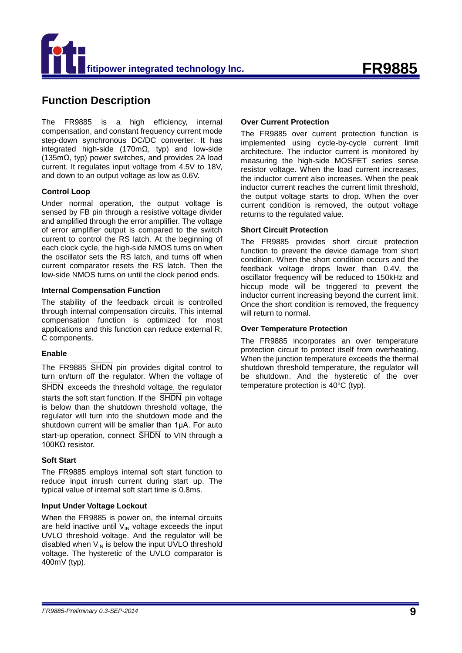

### **Function Description**

The FR9885 is a high efficiency, internal compensation, and constant frequency current mode step-down synchronous DC/DC converter. It has integrated high-side (170m $\Omega$ , typ) and low-side (135mΩ, typ) power switches, and provides 2A load current. It regulates input voltage from 4.5V to 18V, and down to an output voltage as low as 0.6V.

#### **Control Loop**

Under normal operation, the output voltage is sensed by FB pin through a resistive voltage divider and amplified through the error amplifier. The voltage of error amplifier output is compared to the switch current to control the RS latch. At the beginning of each clock cycle, the high-side NMOS turns on when the oscillator sets the RS latch, and turns off when current comparator resets the RS latch. Then the low-side NMOS turns on until the clock period ends.

#### **Internal Compensation Function**

The stability of the feedback circuit is controlled through internal compensation circuits. This internal compensation function is optimized for most applications and this function can reduce external R, C components.

#### **Enable**

The FR9885 SHDN pin provides digital control to turn on/turn off the regulator. When the voltage of SHDN exceeds the threshold voltage, the regulator starts the soft start function. If the  $\overline{\text{SHDN}}$  pin voltage is below than the shutdown threshold voltage, the regulator will turn into the shutdown mode and the shutdown current will be smaller than 1µA. For auto start-up operation, connect SHDN to VIN through a 100KΩ resistor.

#### **Soft Start**

The FR9885 employs internal soft start function to reduce input inrush current during start up. The typical value of internal soft start time is 0.8ms.

#### **Input Under Voltage Lockout**

When the FR9885 is power on, the internal circuits are held inactive until  $V_{IN}$  voltage exceeds the input UVLO threshold voltage. And the regulator will be disabled when  $V_{IN}$  is below the input UVLO threshold voltage. The hysteretic of the UVLO comparator is 400mV (typ).

#### **Over Current Protection**

The FR9885 over current protection function is implemented using cycle-by-cycle current limit architecture. The inductor current is monitored by measuring the high-side MOSFET series sense resistor voltage. When the load current increases, the inductor current also increases. When the peak inductor current reaches the current limit threshold, the output voltage starts to drop. When the over current condition is removed, the output voltage returns to the regulated value.

#### **Short Circuit Protection**

The FR9885 provides short circuit protection function to prevent the device damage from short condition. When the short condition occurs and the feedback voltage drops lower than 0.4V, the oscillator frequency will be reduced to 150kHz and hiccup mode will be triggered to prevent the inductor current increasing beyond the current limit. Once the short condition is removed, the frequency will return to normal.

#### **Over Temperature Protection**

The FR9885 incorporates an over temperature protection circuit to protect itself from overheating. When the junction temperature exceeds the thermal shutdown threshold temperature, the regulator will be shutdown. And the hysteretic of the over temperature protection is 40°C (typ).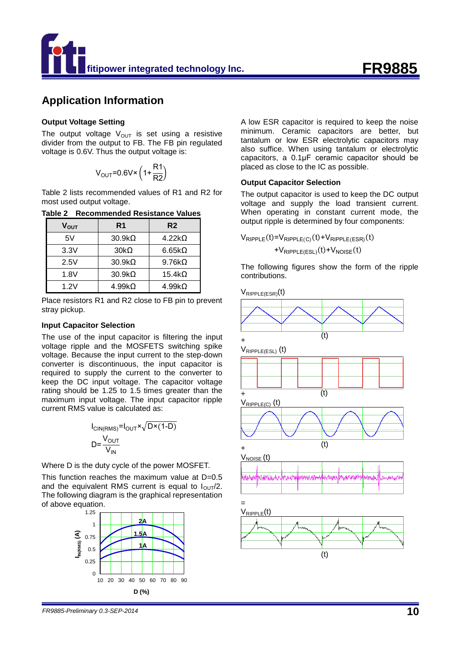

### **Application Information**

#### **Output Voltage Setting**

The output voltage  $V_{\text{OUT}}$  is set using a resistive divider from the output to FB. The FB pin regulated voltage is 0.6V. Thus the output voltage is:

$$
V_{OUT} = 0.6 V \times \left(1 + \frac{R1}{R2}\right)
$$

Table 2 lists recommended values of R1 and R2 for most used output voltage.

| Table 2 Recommended Resistance Values |  |
|---------------------------------------|--|
|                                       |  |

| $\mathsf{V}_{\mathsf{OUT}}$ | R <sub>1</sub> | R <sub>2</sub> |
|-----------------------------|----------------|----------------|
| 5V                          | $30.9k\Omega$  | $4.22k\Omega$  |
| 3.3V                        | $30k\Omega$    | $6.65k\Omega$  |
| 2.5V                        | $30.9k\Omega$  | $9.76k\Omega$  |
| 1.8V                        | $30.9k\Omega$  | $15.4k\Omega$  |
| 1.2V                        | $4.99k\Omega$  | $4.99k\Omega$  |

Place resistors R1 and R2 close to FB pin to prevent stray pickup.

#### **Input Capacitor Selection**

The use of the input capacitor is filtering the input voltage ripple and the MOSFETS switching spike voltage. Because the input current to the step-down converter is discontinuous, the input capacitor is required to supply the current to the converter to keep the DC input voltage. The capacitor voltage rating should be 1.25 to 1.5 times greater than the maximum input voltage. The input capacitor ripple current RMS value is calculated as:

$$
I_{\text{CIN(RMS)}} = I_{\text{OUT}} \times \sqrt{\text{D} \times (1-\text{D})}
$$

$$
\text{D} = \frac{V_{\text{OUT}}}{V_{\text{IN}}}
$$

Where D is the duty cycle of the power MOSFET.

This function reaches the maximum value at D=0.5 and the equivalent RMS current is equal to  $I_{\text{OUT}}/2$ . The following diagram is the graphical representation of above equation.



A low ESR capacitor is required to keep the noise minimum. Ceramic capacitors are better, but tantalum or low ESR electrolytic capacitors may also suffice. When using tantalum or electrolytic capacitors, a 0.1μF ceramic capacitor should be placed as close to the IC as possible.

#### **Output Capacitor Selection**

The output capacitor is used to keep the DC output voltage and supply the load transient current. When operating in constant current mode, the output ripple is determined by four components:

$$
V_{\text{RIPPLE}}(t) = V_{\text{RIPPLE}(C)}(t) + V_{\text{RIPPLE}(ESR)}(t) + V_{\text{RIPPLE}(ESL)}(t) + V_{\text{NOISE}}(t)
$$

The following figures show the form of the ripple contributions.

 $V_{RIPPI F(FSR)}(t)$ 

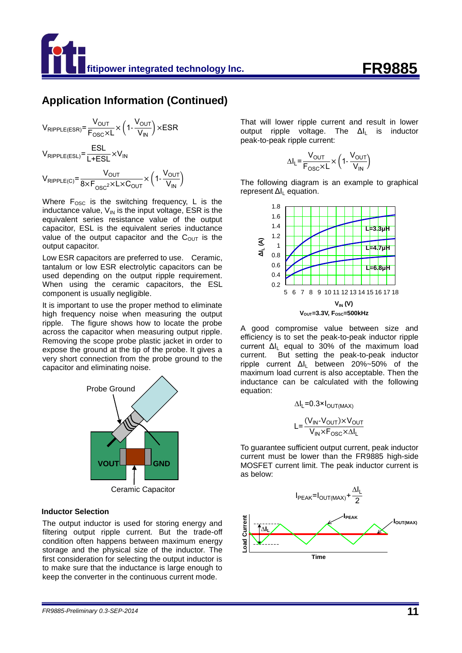### **Application Information (Continued)**

$$
V_{RIPPLE(ESR)} = \frac{V_{OUT}}{F_{OSC} \times L} \times \left(1 - \frac{V_{OUT}}{V_{IN}}\right) \times ESR
$$
  

$$
V_{RIPPLE(ESL)} = \frac{ESL}{L+ESL} \times V_{IN}
$$
  

$$
V_{RIPPLE(C)} = \frac{V_{OUT}}{8 \times F_{OSC} \times L \times C_{OUT}} \times \left(1 - \frac{V_{OUT}}{V_{IN}}\right)
$$

Where  $F_{\text{osc}}$  is the switching frequency, L is the inductance value,  $V_{IN}$  is the input voltage, ESR is the equivalent series resistance value of the output capacitor, ESL is the equivalent series inductance value of the output capacitor and the  $C<sub>OUT</sub>$  is the output capacitor.

Low ESR capacitors are preferred to use. Ceramic, tantalum or low ESR electrolytic capacitors can be used depending on the output ripple requirement. When using the ceramic capacitors, the ESL component is usually negligible.

It is important to use the proper method to eliminate high frequency noise when measuring the output ripple. The figure shows how to locate the probe across the capacitor when measuring output ripple. Removing the scope probe plastic jacket in order to expose the ground at the tip of the probe. It gives a very short connection from the probe ground to the capacitor and eliminating noise.



Ceramic Capacitor

#### **Inductor Selection**

The output inductor is used for storing energy and filtering output ripple current. But the trade-off condition often happens between maximum energy storage and the physical size of the inductor. The first consideration for selecting the output inductor is to make sure that the inductance is large enough to keep the converter in the continuous current mode.

That will lower ripple current and result in lower output ripple voltage. The Δl<sub>l</sub> is inductor peak-to-peak ripple current:

$$
\Delta I_L = \frac{V_{OUT}}{F_{OSC} \times L} \times \left(1 - \frac{V_{OUT}}{V_{IN}}\right)
$$

The following diagram is an example to graphical represent  $\Delta I_L$  equation.



A good compromise value between size and efficiency is to set the peak-to-peak inductor ripple current  $\Delta I_1$  equal to 30% of the maximum load current. But setting the peak-to-peak inductor ripple current  $\Delta l_L$  between 20%~50% of the maximum load current is also acceptable. Then the inductance can be calculated with the following equation:

$$
\Delta I_{L} = 0.3 \times I_{OUT(MAX)}
$$

$$
L = \frac{(V_{IN} - V_{OUT}) \times V_{OUT}}{V_{IN} \times F_{OSC} \times \Delta I_{L}}
$$

To guarantee sufficient output current, peak inductor current must be lower than the FR9885 high-side MOSFET current limit. The peak inductor current is as below:

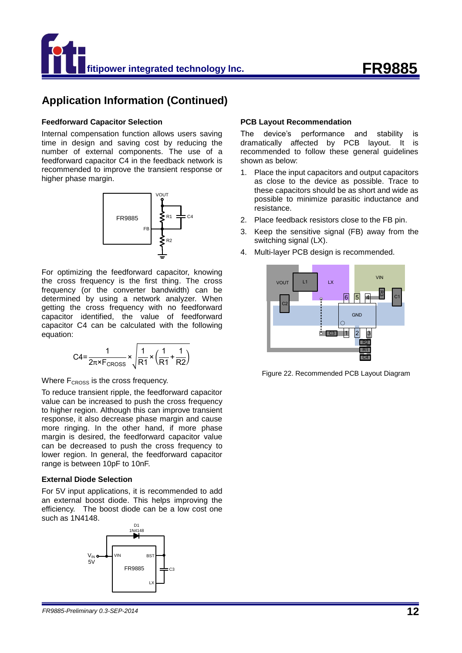

### **Application Information (Continued)**

#### **Feedforward Capacitor Selection**

Internal compensation function allows users saving time in design and saving cost by reducing the number of external components. The use of a feedforward capacitor C4 in the feedback network is recommended to improve the transient response or higher phase margin.



For optimizing the feedforward capacitor, knowing the cross frequency is the first thing. The cross frequency (or the converter bandwidth) can be determined by using a network analyzer. When getting the cross frequency with no feedforward capacitor identified, the value of feedforward capacitor C4 can be calculated with the following equation:

$$
C4 = \frac{1}{2\pi \times F_{\text{CROS}}} \times \sqrt{\frac{1}{R1} \times \left(\frac{1}{R1} + \frac{1}{R2}\right)}
$$

Where  $F_{CROSS}$  is the cross frequency.

To reduce transient ripple, the feedforward capacitor value can be increased to push the cross frequency to higher region. Although this can improve transient response, it also decrease phase margin and cause more ringing. In the other hand, if more phase margin is desired, the feedforward capacitor value can be decreased to push the cross frequency to lower region. In general, the feedforward capacitor range is between 10pF to 10nF.

#### **External Diode Selection**

For 5V input applications, it is recommended to add an external boost diode. This helps improving the efficiency. The boost diode can be a low cost one such as 1N4148.



#### **PCB Layout Recommendation**

The device's performance and stability is dramatically affected by PCB layout. It is recommended to follow these general guidelines shown as below:

- 1. Place the input capacitors and output capacitors as close to the device as possible. Trace to these capacitors should be as short and wide as possible to minimize parasitic inductance and resistance.
- 2. Place feedback resistors close to the FB pin.
- 3. Keep the sensitive signal (FB) away from the switching signal (LX).
- 4. Multi-layer PCB design is recommended.



Figure 22. Recommended PCB Layout Diagram